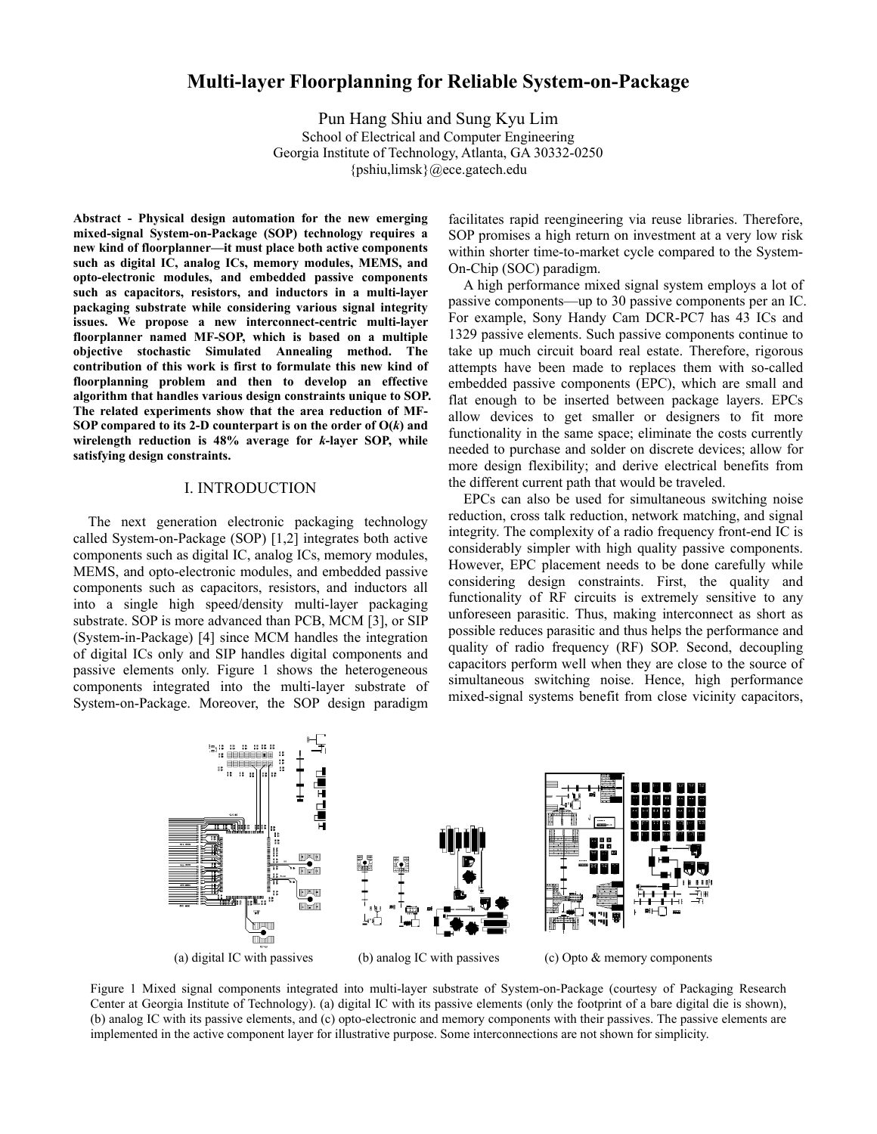# **Multi-layer Floorplanning for Reliable System-on-Package**

Pun Hang Shiu and Sung Kyu Lim School of Electrical and Computer Engineering Georgia Institute of Technology, Atlanta, GA 30332-0250 {pshiu,limsk}@ece.gatech.edu

**Abstract - Physical design automation for the new emerging mixed-signal System-on-Package (SOP) technology requires a new kind of floorplanner—it must place both active components such as digital IC, analog ICs, memory modules, MEMS, and opto-electronic modules, and embedded passive components such as capacitors, resistors, and inductors in a multi-layer packaging substrate while considering various signal integrity issues. We propose a new interconnect-centric multi-layer floorplanner named MF-SOP, which is based on a multiple objective stochastic Simulated Annealing method. The contribution of this work is first to formulate this new kind of floorplanning problem and then to develop an effective algorithm that handles various design constraints unique to SOP. The related experiments show that the area reduction of MF-SOP compared to its 2-D counterpart is on the order of O(***k***) and wirelength reduction is 48% average for** *k***-layer SOP, while satisfying design constraints.** 

## I. INTRODUCTION

The next generation electronic packaging technology called System-on-Package (SOP) [1,2] integrates both active components such as digital IC, analog ICs, memory modules, MEMS, and opto-electronic modules, and embedded passive components such as capacitors, resistors, and inductors all into a single high speed/density multi-layer packaging substrate. SOP is more advanced than PCB, MCM [3], or SIP (System-in-Package) [4] since MCM handles the integration of digital ICs only and SIP handles digital components and passive elements only. Figure 1 shows the heterogeneous components integrated into the multi-layer substrate of System-on-Package. Moreover, the SOP design paradigm facilitates rapid reengineering via reuse libraries. Therefore, SOP promises a high return on investment at a very low risk within shorter time-to-market cycle compared to the System-On-Chip (SOC) paradigm.

A high performance mixed signal system employs a lot of passive components—up to 30 passive components per an IC. For example, Sony Handy Cam DCR-PC7 has 43 ICs and 1329 passive elements. Such passive components continue to take up much circuit board real estate. Therefore, rigorous attempts have been made to replaces them with so-called embedded passive components (EPC), which are small and flat enough to be inserted between package layers. EPCs allow devices to get smaller or designers to fit more functionality in the same space; eliminate the costs currently needed to purchase and solder on discrete devices; allow for more design flexibility; and derive electrical benefits from the different current path that would be traveled.

EPCs can also be used for simultaneous switching noise reduction, cross talk reduction, network matching, and signal integrity. The complexity of a radio frequency front-end IC is considerably simpler with high quality passive components. However, EPC placement needs to be done carefully while considering design constraints. First, the quality and functionality of RF circuits is extremely sensitive to any unforeseen parasitic. Thus, making interconnect as short as possible reduces parasitic and thus helps the performance and quality of radio frequency (RF) SOP. Second, decoupling capacitors perform well when they are close to the source of simultaneous switching noise. Hence, high performance mixed-signal systems benefit from close vicinity capacitors,



Figure 1 Mixed signal components integrated into multi-layer substrate of System-on-Package (courtesy of Packaging Research Center at Georgia Institute of Technology). (a) digital IC with its passive elements (only the footprint of a bare digital die is shown), (b) analog IC with its passive elements, and (c) opto-electronic and memory components with their passives. The passive elements are implemented in the active component layer for illustrative purpose. Some interconnections are not shown for simplicity.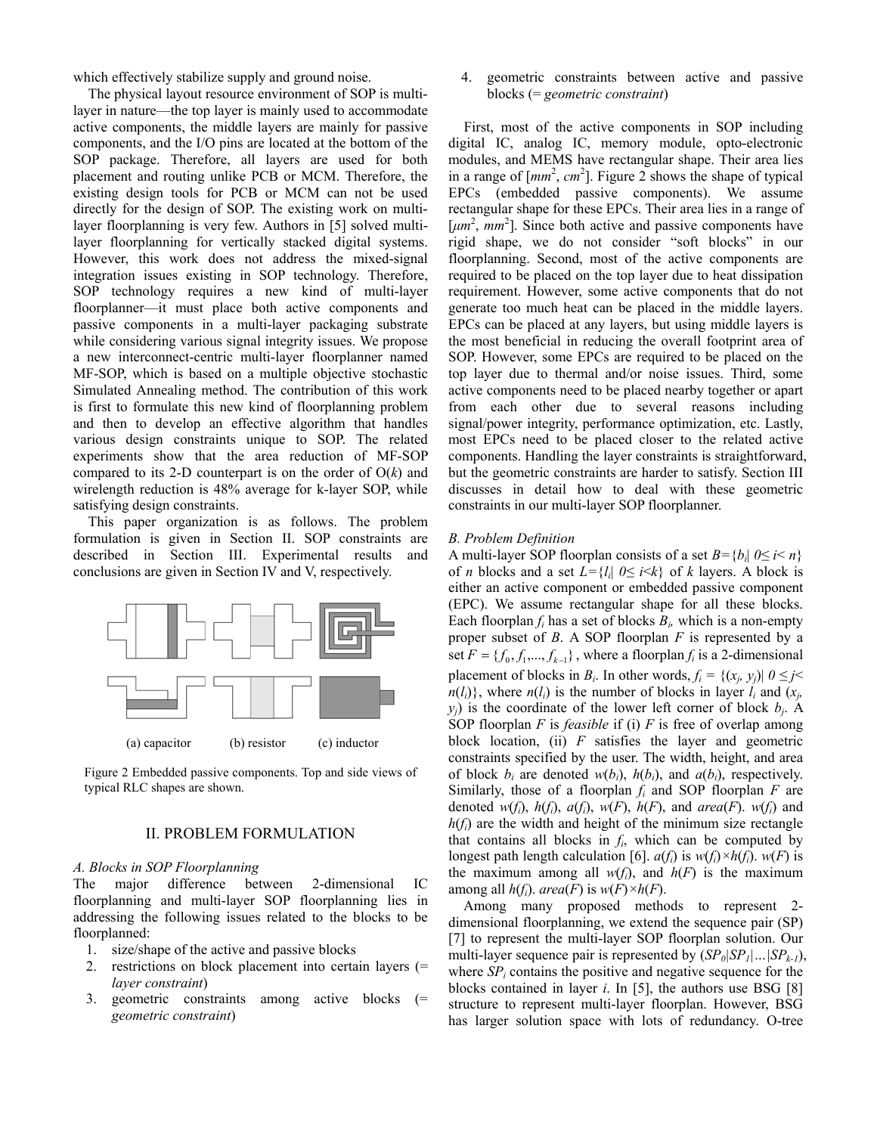which effectively stabilize supply and ground noise.

The physical layout resource environment of SOP is multilayer in nature—the top layer is mainly used to accommodate active components, the middle layers are mainly for passive components, and the I/O pins are located at the bottom of the SOP package. Therefore, all layers are used for both placement and routing unlike PCB or MCM. Therefore, the existing design tools for PCB or MCM can not be used directly for the design of SOP. The existing work on multilayer floorplanning is very few. Authors in [5] solved multilayer floorplanning for vertically stacked digital systems. However, this work does not address the mixed-signal integration issues existing in SOP technology. Therefore, SOP technology requires a new kind of multi-layer floorplanner—it must place both active components and passive components in a multi-layer packaging substrate while considering various signal integrity issues. We propose a new interconnect-centric multi-layer floorplanner named MF-SOP, which is based on a multiple objective stochastic Simulated Annealing method. The contribution of this work is first to formulate this new kind of floorplanning problem and then to develop an effective algorithm that handles various design constraints unique to SOP. The related experiments show that the area reduction of MF-SOP compared to its 2-D counterpart is on the order of  $O(k)$  and wirelength reduction is 48% average for k-layer SOP, while satisfying design constraints.

This paper organization is as follows. The problem formulation is given in Section II. SOP constraints are described in Section III. Experimental results and conclusions are given in Section IV and V, respectively.



Figure 2 Embedded passive components. Top and side views of typical RLC shapes are shown.

# II. PROBLEM FORMULATION

## *A. Blocks in SOP Floorplanning*

The major difference between 2-dimensional floorplanning and multi-layer SOP floorplanning lies in addressing the following issues related to the blocks to be floorplanned:

- 1. size/shape of the active and passive blocks
- 2. restrictions on block placement into certain layers (= *layer constraint*)
- 3. geometric constraints among active blocks (= *geometric constraint*)

4. geometric constraints between active and passive blocks (= *geometric constraint*)

First, most of the active components in SOP including digital IC, analog IC, memory module, opto-electronic modules, and MEMS have rectangular shape. Their area lies in a range of  $[mm^2, cm^2]$ . Figure 2 shows the shape of typical EPCs (embedded passive components). We assume rectangular shape for these EPCs. Their area lies in a range of  $\left[\mu m^2, \, m m^2\right]$ . Since both active and passive components have rigid shape, we do not consider "soft blocks" in our floorplanning. Second, most of the active components are required to be placed on the top layer due to heat dissipation requirement. However, some active components that do not generate too much heat can be placed in the middle layers. EPCs can be placed at any layers, but using middle layers is the most beneficial in reducing the overall footprint area of SOP. However, some EPCs are required to be placed on the top layer due to thermal and/or noise issues. Third, some active components need to be placed nearby together or apart from each other due to several reasons including signal/power integrity, performance optimization, etc. Lastly, most EPCs need to be placed closer to the related active components. Handling the layer constraints is straightforward, but the geometric constraints are harder to satisfy. Section III discusses in detail how to deal with these geometric constraints in our multi-layer SOP floorplanner.

### *B. Problem Definition*

A multi-layer SOP floorplan consists of a set  $B = \{b_i | 0 \le i \le n\}$ of *n* blocks and a set  $L = \{l_i | 0 \leq i \leq k\}$  of *k* layers. A block is either an active component or embedded passive component (EPC). We assume rectangular shape for all these blocks. Each floorplan  $f_i$  has a set of blocks  $B_i$ , which is a non-empty proper subset of *B*. A SOP floorplan *F* is represented by a set  $F = \{f_0, f_1, \dots, f_{k-1}\}\$ , where a floorplan  $f_i$  is a 2-dimensional placement of blocks in *B<sub>i</sub>*. In other words,  $f_i = \{(x_i, y_j) | 0 \leq j \leq j\}$  $n(l_i)$ , where  $n(l_i)$  is the number of blocks in layer  $l_i$  and  $(x_j, j)$  $y_j$ ) is the coordinate of the lower left corner of block  $b_j$ . A SOP floorplan *F* is *feasible* if (i) *F* is free of overlap among block location, (ii) *F* satisfies the layer and geometric constraints specified by the user. The width, height, and area of block  $b_i$  are denoted  $w(b_i)$ ,  $h(b_i)$ , and  $a(b_i)$ , respectively. Similarly, those of a floorplan *fi* and SOP floorplan *F* are denoted  $w(f_i)$ ,  $h(f_i)$ ,  $a(f_i)$ ,  $w(F)$ ,  $h(F)$ , and  $area(F)$ .  $w(f_i)$  and  $h(f_i)$  are the width and height of the minimum size rectangle that contains all blocks in  $f_i$ , which can be computed by longest path length calculation [6].  $a(f_i)$  is  $w(f_i) \times h(f_i)$ .  $w(F)$  is the maximum among all  $w(f_i)$ , and  $h(F)$  is the maximum among all  $h(f_i)$ . *area*(*F*) is  $w(F) \times h(F)$ .

Among many proposed methods to represent 2 dimensional floorplanning, we extend the sequence pair (SP) [7] to represent the multi-layer SOP floorplan solution. Our multi-layer sequence pair is represented by  $(SP_0|SP_1|...|SP_{k-1}),$ where  $SP<sub>i</sub>$  contains the positive and negative sequence for the blocks contained in layer *i*. In [5], the authors use BSG [8] structure to represent multi-layer floorplan. However, BSG has larger solution space with lots of redundancy. O-tree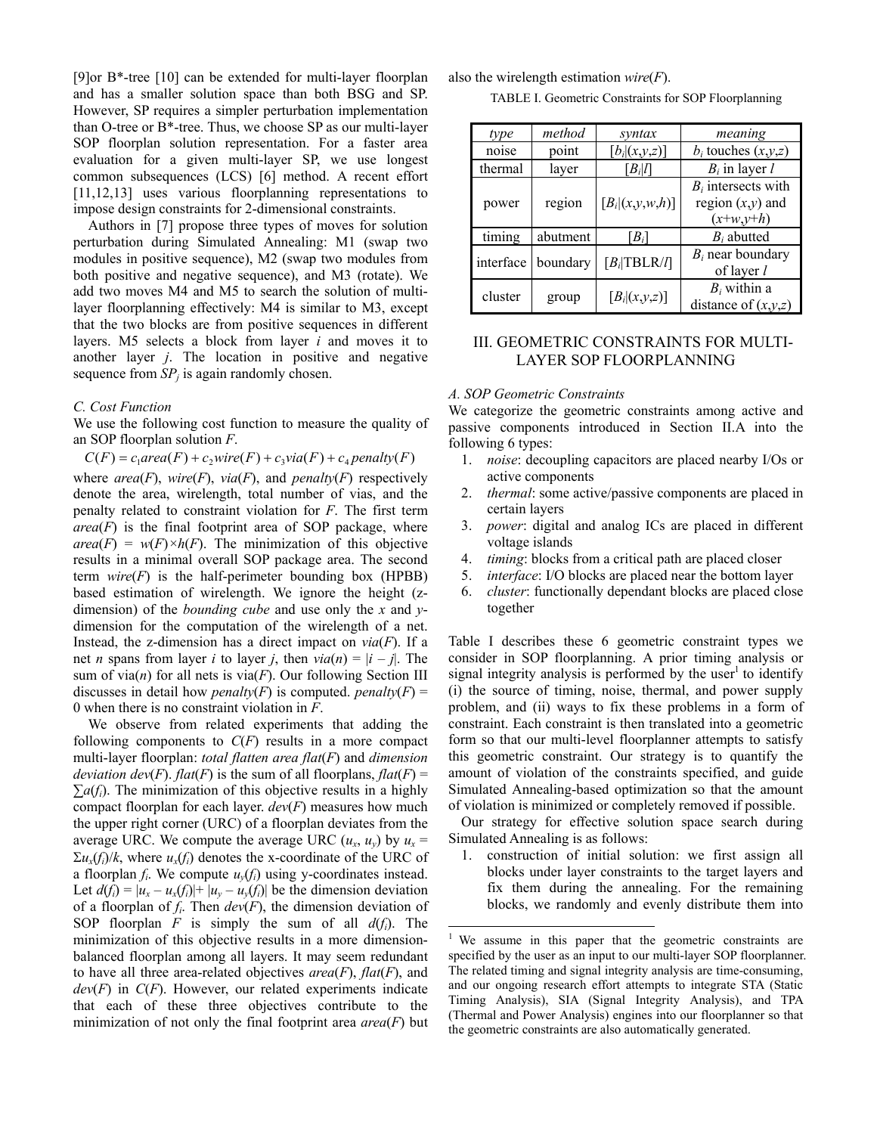[9]or B\*-tree [10] can be extended for multi-layer floorplan and has a smaller solution space than both BSG and SP. However, SP requires a simpler perturbation implementation than O-tree or B\*-tree. Thus, we choose SP as our multi-layer SOP floorplan solution representation. For a faster area evaluation for a given multi-layer SP, we use longest common subsequences (LCS) [6] method. A recent effort [11,12,13] uses various floorplanning representations to impose design constraints for 2-dimensional constraints.

Authors in [7] propose three types of moves for solution perturbation during Simulated Annealing: M1 (swap two modules in positive sequence), M2 (swap two modules from both positive and negative sequence), and M3 (rotate). We add two moves M4 and M5 to search the solution of multilayer floorplanning effectively: M4 is similar to M3, except that the two blocks are from positive sequences in different layers. M5 selects a block from layer *i* and moves it to another layer *j*. The location in positive and negative sequence from  $SP<sub>i</sub>$  is again randomly chosen.

### *C. Cost Function*

We use the following cost function to measure the quality of an SOP floorplan solution *F*.

 $C(F) = c_1 \text{area}(F) + c_2 \text{wire}(F) + c_3 \text{via}(F) + c_4 \text{penalty}(F)$ where  $area(F)$ ,  $wire(F)$ ,  $via(F)$ , and  $penalty(F)$  respectively denote the area, wirelength, total number of vias, and the penalty related to constraint violation for *F*. The first term  $area(F)$  is the final footprint area of SOP package, where  $area(F) = w(F) \times h(F)$ . The minimization of this objective results in a minimal overall SOP package area. The second term  $wire(F)$  is the half-perimeter bounding box (HPBB) based estimation of wirelength. We ignore the height (zdimension) of the *bounding cube* and use only the *x* and *y*dimension for the computation of the wirelength of a net. Instead, the z-dimension has a direct impact on  $via(F)$ . If a net *n* spans from layer *i* to layer *j*, then  $via(n) = |i - j|$ . The sum of via( $n$ ) for all nets is via( $F$ ). Our following Section III discusses in detail how *penalty*(*F*) is computed. *penalty*(*F*) = 0 when there is no constraint violation in *F*.

We observe from related experiments that adding the following components to *C*(*F*) results in a more compact multi-layer floorplan: *total flatten area flat*(*F*) and *dimension deviation dev*(*F*). *flat*(*F*) is the sum of all floorplans, *flat*(*F*) =  $\sum a(f_i)$ . The minimization of this objective results in a highly compact floorplan for each layer. *dev*(*F*) measures how much the upper right corner (URC) of a floorplan deviates from the average URC. We compute the average URC  $(u_x, u_y)$  by  $u_x =$  $\Sigma u_x(f_i)/k$ , where  $u_x(f_i)$  denotes the x-coordinate of the URC of a floorplan  $f_i$ . We compute  $u_y(f_i)$  using y-coordinates instead. Let  $d(f_i) = |u_x - u_x(f_i)| + |u_y - u_y(f_i)|$  be the dimension deviation of a floorplan of *fi*. Then *dev*(*F*), the dimension deviation of SOP floorplan *F* is simply the sum of all  $d(f_i)$ . The minimization of this objective results in a more dimensionbalanced floorplan among all layers. It may seem redundant to have all three area-related objectives *area*(*F*), *flat*(*F*), and *dev*(*F*) in *C*(*F*). However, our related experiments indicate that each of these three objectives contribute to the minimization of not only the final footprint area  $area(F)$  but also the wirelength estimation *wire*(*F*).

TABLE I. Geometric Constraints for SOP Floorplanning

| type      | method   | syntax                  | meaning                 |  |  |  |
|-----------|----------|-------------------------|-------------------------|--|--|--|
| noise     | point    | $[b_i (x,y,z)]$         | $b_i$ touches $(x,y,z)$ |  |  |  |
| thermal   | layer    | $[B_i]$                 | $B_i$ in layer l        |  |  |  |
|           |          |                         | $B_i$ intersects with   |  |  |  |
| power     | region   | $[B_i (x,y,w,h)]$       | region $(x,y)$ and      |  |  |  |
|           |          |                         | $(x+y,y+h)$             |  |  |  |
| timing    | abutment | $[B_i]$                 | $B_i$ abutted           |  |  |  |
| interface | boundary | $[B_i   \text{TBLR}/I]$ | $B_i$ near boundary     |  |  |  |
|           |          |                         | of layer l              |  |  |  |
| cluster   | group    |                         | $B_i$ within a          |  |  |  |
|           |          | $[B_i](x,y,z)$          | distance of $(x,y,z)$   |  |  |  |

# III. GEOMETRIC CONSTRAINTS FOR MULTI-LAYER SOP FLOORPLANNING

## *A. SOP Geometric Constraints*

We categorize the geometric constraints among active and passive components introduced in Section II.A into the following 6 types:

- 1. *noise*: decoupling capacitors are placed nearby I/Os or active components
- 2. *thermal*: some active/passive components are placed in certain layers
- 3. *power*: digital and analog ICs are placed in different voltage islands
- 4. *timing*: blocks from a critical path are placed closer
- 5. *interface*: I/O blocks are placed near the bottom layer
- 6. *cluster*: functionally dependant blocks are placed close together

Table I describes these 6 geometric constraint types we consider in SOP floorplanning. A prior timing analysis or signal integrity analysis is performed by the user<sup>1</sup> to identify (i) the source of timing, noise, thermal, and power supply problem, and (ii) ways to fix these problems in a form of constraint. Each constraint is then translated into a geometric form so that our multi-level floorplanner attempts to satisfy this geometric constraint. Our strategy is to quantify the amount of violation of the constraints specified, and guide Simulated Annealing-based optimization so that the amount of violation is minimized or completely removed if possible.

Our strategy for effective solution space search during Simulated Annealing is as follows:

1. construction of initial solution: we first assign all blocks under layer constraints to the target layers and fix them during the annealing. For the remaining blocks, we randomly and evenly distribute them into

 $\overline{a}$ 

<sup>&</sup>lt;sup>1</sup> We assume in this paper that the geometric constraints are specified by the user as an input to our multi-layer SOP floorplanner. The related timing and signal integrity analysis are time-consuming, and our ongoing research effort attempts to integrate STA (Static Timing Analysis), SIA (Signal Integrity Analysis), and TPA (Thermal and Power Analysis) engines into our floorplanner so that the geometric constraints are also automatically generated.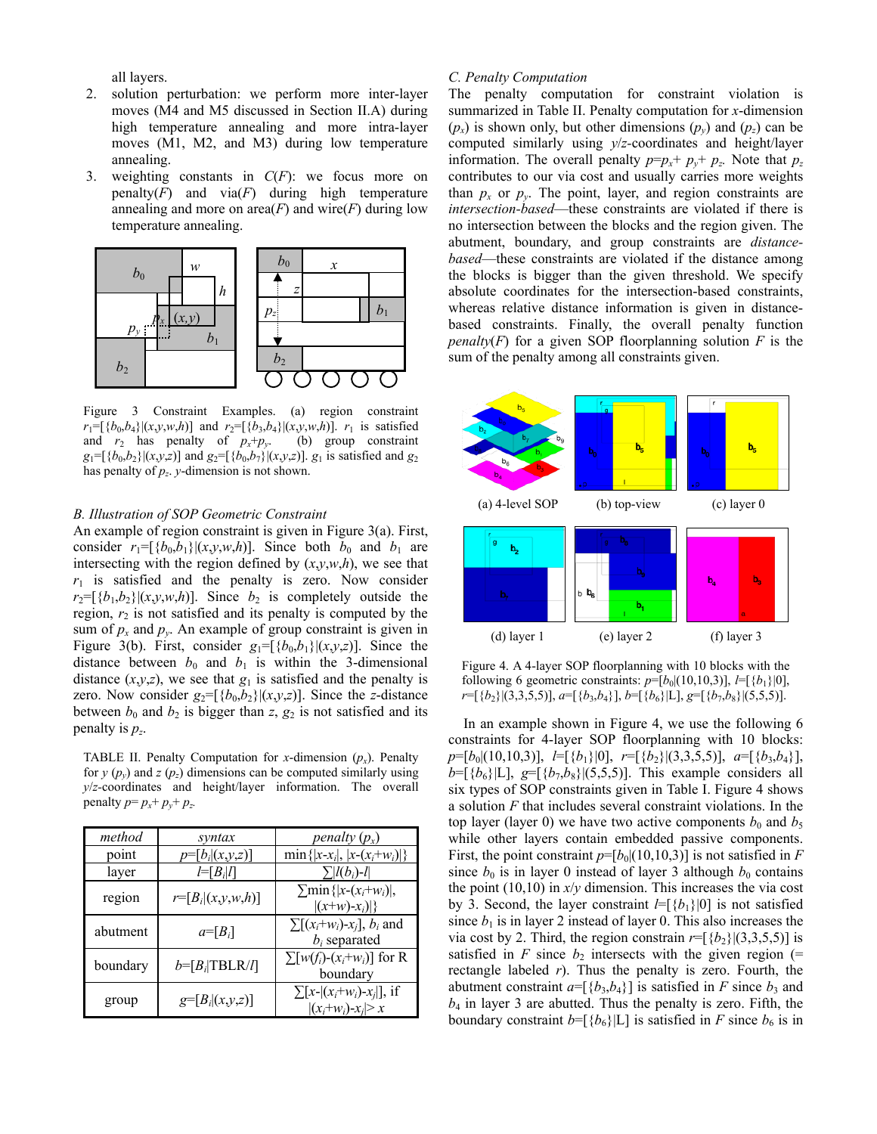all layers.

- 2. solution perturbation: we perform more inter-layer moves (M4 and M5 discussed in Section II.A) during high temperature annealing and more intra-layer moves (M1, M2, and M3) during low temperature annealing.
- 3. weighting constants in *C*(*F*): we focus more on penalty $(F)$  and  $via(F)$  during high temperature annealing and more on  $area(F)$  and wire( $F$ ) during low temperature annealing.



Figure 3 Constraint Examples. (a) region constraint  $r_1 = [\{b_0, b_4\} | (x, y, w, h)]$  and  $r_2 = [\{b_3, b_4\} | (x, y, w, h)]$ .  $r_1$  is satisfied and  $r_2$  has penalty of  $p_x+p_y$ . (b) group constraint  $g_1 = [\{b_0, b_2\} | (x, y, z)]$  and  $g_2 = [\{b_0, b_7\} | (x, y, z)]$ .  $g_1$  is satisfied and  $g_2$ has penalty of *pz*. *y*-dimension is not shown.

### *B. Illustration of SOP Geometric Constraint*

An example of region constraint is given in Figure 3(a). First, consider  $r_1 = [\{b_0, b_1\}](x, y, w, h)$ ]. Since both  $b_0$  and  $b_1$  are intersecting with the region defined by  $(x, y, w, h)$ , we see that  $r_1$  is satisfied and the penalty is zero. Now consider  $r_2 = [\{b_1, b_2\} | (x, y, w, h)]$ . Since  $b_2$  is completely outside the region,  $r_2$  is not satisfied and its penalty is computed by the sum of  $p_x$  and  $p_y$ . An example of group constraint is given in Figure 3(b). First, consider  $g_1 = [\{b_0, b_1\} | (x, y, z)]$ . Since the distance between  $b_0$  and  $b_1$  is within the 3-dimensional distance  $(x,y,z)$ , we see that  $g_1$  is satisfied and the penalty is zero. Now consider  $g_2 = [\{b_0, b_2\} | (x, y, z)]$ . Since the *z*-distance between  $b_0$  and  $b_2$  is bigger than  $z$ ,  $g_2$  is not satisfied and its penalty is  $p_z$ .

TABLE II. Penalty Computation for *x*-dimension  $(p_r)$ . Penalty for  $y(p_v)$  and  $z(p_z)$  dimensions can be computed similarly using *y*/*z-*coordinates and height/layer information. The overall penalty  $p = p_x + p_y + p_z$ .

| method   | syntax                      | penalty $(p_x)$                                          |
|----------|-----------------------------|----------------------------------------------------------|
| point    | $p=[b_i (x,y,z)]$           | $\min\{ x-x_i ,  x-(x_i+w_i) \}$                         |
| layer    | $l = [B_i l]$               | $\sum$ [l(b <sub>i</sub> )-l                             |
| region   | $r = [B_i (x,y,w,h)]$       | $\sum \min\{ x-(x_i+w_i) ,$<br>$ (x+w)-x_i) $            |
| abutment | $a = [B_i]$                 | $\sum [(x_i+w_i)-x_i]$ , $b_i$ and<br>$b_i$ separated    |
| boundary | $b = [B_i   \text{TBLR}/l]$ | $\sum [w(f_i)-(x_i+w_i)]$ for R<br>boundary              |
| group    | $g=[B_i](x,y,z)$            | $\sum [x -  (x_i+w_i)-x_j ]$ , if<br>$ (x_i+w_i)-x_i >x$ |

## *C. Penalty Computation*

The penalty computation for constraint violation is summarized in Table II. Penalty computation for *x*-dimension  $(p_x)$  is shown only, but other dimensions  $(p_y)$  and  $(p_z)$  can be computed similarly using *y*/*z-*coordinates and height/layer information. The overall penalty  $p=p_x+p_y+p_z$ . Note that  $p_z$ contributes to our via cost and usually carries more weights than  $p_x$  or  $p_y$ . The point, layer, and region constraints are *intersection-based*—these constraints are violated if there is no intersection between the blocks and the region given. The abutment, boundary, and group constraints are *distancebased*—these constraints are violated if the distance among the blocks is bigger than the given threshold. We specify absolute coordinates for the intersection-based constraints, whereas relative distance information is given in distancebased constraints. Finally, the overall penalty function *penalty*( $F$ ) for a given SOP floorplanning solution  $F$  is the sum of the penalty among all constraints given.



Figure 4. A 4-layer SOP floorplanning with 10 blocks with the following 6 geometric constraints:  $p=[b_0|(10,10,3)]$ ,  $l=[\{b_1\}|0]$ , *r*=[{*b*2}|(3,3,5,5)], *a*=[{*b*3,*b*4}], *b*=[{*b*6}|L], *g*=[{*b*7,*b*8}|(5,5,5)].

In an example shown in Figure 4, we use the following 6 constraints for 4-layer SOP floorplanning with 10 blocks: *p*=[*b*0|(10,10,3)], *l*=[{*b*1}|0], *r*=[{*b*2}|(3,3,5,5)], *a*=[{*b*3,*b*4}],  $b = [\{b_6\} | L]$ ,  $g = [\{b_7, b_8\} | (5, 5, 5)]$ . This example considers all six types of SOP constraints given in Table I. Figure 4 shows a solution *F* that includes several constraint violations. In the top layer (layer 0) we have two active components  $b_0$  and  $b_5$ while other layers contain embedded passive components. First, the point constraint  $p=[b_0](10,10,3)$ ] is not satisfied in *F* since  $b_0$  is in layer 0 instead of layer 3 although  $b_0$  contains the point  $(10,10)$  in  $x/y$  dimension. This increases the via cost by 3. Second, the layer constraint  $l = [\{b_1\}|0]$  is not satisfied since  $b_1$  is in layer 2 instead of layer 0. This also increases the via cost by 2. Third, the region constrain  $r=[\{b_2\}](3,3,5,5)$ ] is satisfied in *F* since  $b_2$  intersects with the given region (= rectangle labeled *r*). Thus the penalty is zero. Fourth, the abutment constraint  $a = [\{b_3, b_4\}]$  is satisfied in *F* since  $b_3$  and  $b_4$  in layer 3 are abutted. Thus the penalty is zero. Fifth, the boundary constraint  $b = [\{b_6\} | L]$  is satisfied in *F* since  $b_6$  is in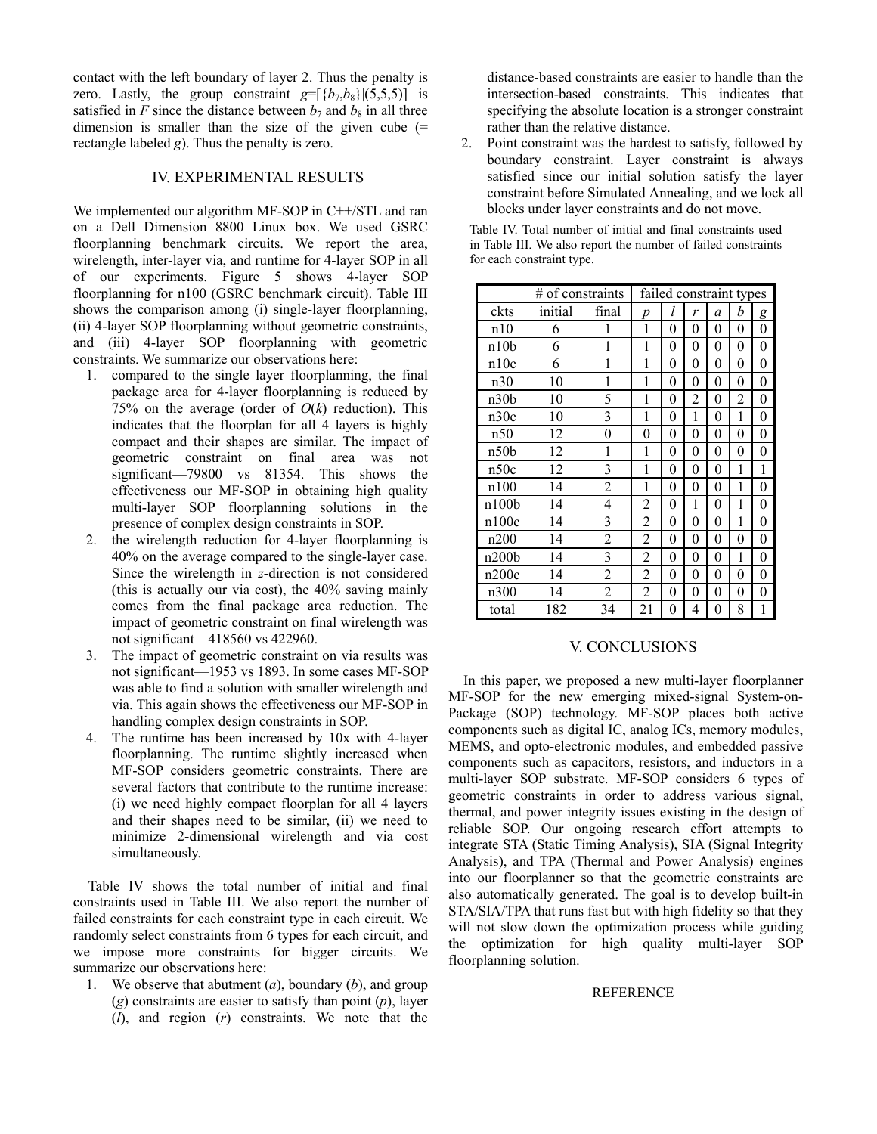contact with the left boundary of layer 2. Thus the penalty is zero. Lastly, the group constraint  $g = [\{b_7, b_8\}](5,5,5)$  is satisfied in *F* since the distance between  $b_7$  and  $b_8$  in all three dimension is smaller than the size of the given cube  $(=$ rectangle labeled *g*). Thus the penalty is zero.

# IV. EXPERIMENTAL RESULTS

We implemented our algorithm MF-SOP in C++/STL and ran on a Dell Dimension 8800 Linux box. We used GSRC floorplanning benchmark circuits. We report the area, wirelength, inter-layer via, and runtime for 4-layer SOP in all of our experiments. Figure 5 shows 4-layer SOP floorplanning for n100 (GSRC benchmark circuit). Table III shows the comparison among (i) single-layer floorplanning, (ii) 4-layer SOP floorplanning without geometric constraints, and (iii) 4-layer SOP floorplanning with geometric constraints. We summarize our observations here:

- 1. compared to the single layer floorplanning, the final package area for 4-layer floorplanning is reduced by 75% on the average (order of  $O(k)$  reduction). This indicates that the floorplan for all 4 layers is highly compact and their shapes are similar. The impact of geometric constraint on final area was not significant—79800 vs 81354. This shows the effectiveness our MF-SOP in obtaining high quality multi-layer SOP floorplanning solutions in the presence of complex design constraints in SOP.
- 2. the wirelength reduction for 4-layer floorplanning is 40% on the average compared to the single-layer case. Since the wirelength in *z*-direction is not considered (this is actually our via cost), the 40% saving mainly comes from the final package area reduction. The impact of geometric constraint on final wirelength was not significant—418560 vs 422960.
- 3. The impact of geometric constraint on via results was not significant—1953 vs 1893. In some cases MF-SOP was able to find a solution with smaller wirelength and via. This again shows the effectiveness our MF-SOP in handling complex design constraints in SOP.
- 4. The runtime has been increased by 10x with 4-layer floorplanning. The runtime slightly increased when MF-SOP considers geometric constraints. There are several factors that contribute to the runtime increase: (i) we need highly compact floorplan for all 4 layers and their shapes need to be similar, (ii) we need to minimize 2-dimensional wirelength and via cost simultaneously.

Table IV shows the total number of initial and final constraints used in Table III. We also report the number of failed constraints for each constraint type in each circuit. We randomly select constraints from 6 types for each circuit, and we impose more constraints for bigger circuits. We summarize our observations here:

1. We observe that abutment (*a*), boundary (*b*), and group (*g*) constraints are easier to satisfy than point (*p*), layer (*l*), and region (*r*) constraints. We note that the

distance-based constraints are easier to handle than the intersection-based constraints. This indicates that specifying the absolute location is a stronger constraint rather than the relative distance.

2. Point constraint was the hardest to satisfy, followed by boundary constraint. Layer constraint is always satisfied since our initial solution satisfy the layer constraint before Simulated Annealing, and we lock all blocks under layer constraints and do not move.

Table IV. Total number of initial and final constraints used in Table III. We also report the number of failed constraints for each constraint type.

|                  | # of constraints | failed constraint types |                |   |                |                |                |   |
|------------------|------------------|-------------------------|----------------|---|----------------|----------------|----------------|---|
| ckts             | initial          | final                   | p              | 1 | r              | a              | b              | g |
| n10              | 6                | 1                       | 1              | 0 | $\theta$       | $\theta$       | $\theta$       | 0 |
| n10b             | 6                | 1                       | 1              | 0 | $\theta$       | $\theta$       | $\overline{0}$ | 0 |
| n10c             | 6                | 1                       | 1              | 0 | $\overline{0}$ | $\overline{0}$ | $\overline{0}$ | 0 |
| n30              | 10               | 1                       | 1              | 0 | 0              | 0              | 0              | 0 |
| n30b             | 10               | 5                       | 1              | 0 | 2              | $\theta$       | $\overline{2}$ | 0 |
| n30c             | 10               | 3                       | 1              | 0 | 1              | 0              | 1              | 0 |
| n50              | 12               | 0                       | 0              | 0 | 0              | 0              | 0              | 0 |
| n50 <sub>b</sub> | 12               | 1                       | 1              | 0 | 0              | 0              | 0              | 0 |
| n50c             | 12               | 3                       | 1              | 0 | 0              | $\overline{0}$ | 1              | 1 |
| n100             | 14               | $\overline{2}$          | 1              | 0 | 0              | 0              | 1              | 0 |
| n100b            | 14               | 4                       | 2              | 0 | 1              | 0              | 1              | 0 |
| n100c            | 14               | 3                       | $\overline{c}$ | 0 | 0              | $\theta$       | 1              | 0 |
| n200             | 14               | $\overline{c}$          | $\overline{c}$ | 0 | 0              | 0              | 0              | 0 |
| n200b            | 14               | 3                       | $\overline{2}$ | 0 | 0              | $\theta$       | 1              | 0 |
| n200c            | 14               | 2                       | $\overline{2}$ | 0 | 0              | $\theta$       | 0              | 0 |
| n300             | 14               | 2                       | $\overline{2}$ | 0 | 0              | $\theta$       | $\overline{0}$ | 0 |
| total            | 182              | 34                      | 21             | 0 | 4              | 0              | 8              | 1 |

## V. CONCLUSIONS

In this paper, we proposed a new multi-layer floorplanner MF-SOP for the new emerging mixed-signal System-on-Package (SOP) technology. MF-SOP places both active components such as digital IC, analog ICs, memory modules, MEMS, and opto-electronic modules, and embedded passive components such as capacitors, resistors, and inductors in a multi-layer SOP substrate. MF-SOP considers 6 types of geometric constraints in order to address various signal, thermal, and power integrity issues existing in the design of reliable SOP. Our ongoing research effort attempts to integrate STA (Static Timing Analysis), SIA (Signal Integrity Analysis), and TPA (Thermal and Power Analysis) engines into our floorplanner so that the geometric constraints are also automatically generated. The goal is to develop built-in STA/SIA/TPA that runs fast but with high fidelity so that they will not slow down the optimization process while guiding the optimization for high quality multi-layer SOP floorplanning solution.

# REFERENCE